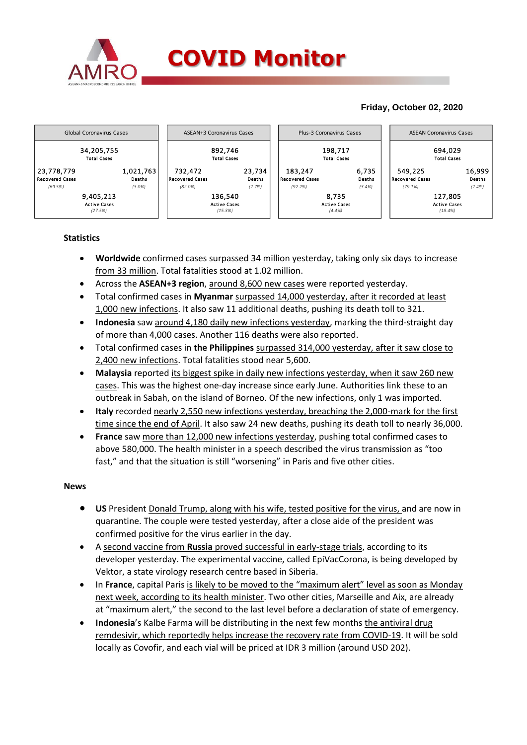

## **Friday, October 02, 2020**



## **Statistics**

- **Worldwide** confirmed cases surpassed 34 million yesterday, taking only six days to increase from 33 million. Total fatalities stood at 1.02 million.
- Across the **ASEAN+3 region**, around 8,600 new cases were reported yesterday.
- Total confirmed cases in **Myanmar** surpassed 14,000 yesterday, after it recorded at least 1,000 new infections. It also saw 11 additional deaths, pushing its death toll to 321.
- **Indonesia** saw around 4,180 daily new infections yesterday, marking the third-straight day of more than 4,000 cases. Another 116 deaths were also reported.
- Total confirmed cases in **the Philippines** surpassed 314,000 yesterday, after it saw close to 2,400 new infections. Total fatalities stood near 5,600.
- **Malaysia** reported its biggest spike in daily new infections yesterday, when it saw 260 new cases. This was the highest one-day increase since early June. Authorities link these to an outbreak in Sabah, on the island of Borneo. Of the new infections, only 1 was imported.
- **Italy** recorded nearly 2,550 new infections yesterday, breaching the 2,000-mark for the first time since the end of April. It also saw 24 new deaths, pushing its death toll to nearly 36,000.
- **France** saw more than 12,000 new infections yesterday, pushing total confirmed cases to above 580,000. The health minister in a speech described the virus transmission as "too fast," and that the situation is still "worsening" in Paris and five other cities.

## **News**

- **US** President Donald Trump, along with his wife, tested positive for the virus, and are now in quarantine. The couple were tested yesterday, after a close aide of the president was confirmed positive for the virus earlier in the day.
- A second vaccine from **Russia** proved successful in early-stage trials, according to its developer yesterday. The experimental vaccine, called EpiVacCorona, is being developed by Vektor, a state virology research centre based in Siberia.
- In **France**, capital Paris is likely to be moved to the "maximum alert" level as soon as Monday next week, according to its health minister. Two other cities, Marseille and Aix, are already at "maximum alert," the second to the last level before a declaration of state of emergency.
- **Indonesia**'s Kalbe Farma will be distributing in the next few months the antiviral drug remdesivir, which reportedly helps increase the recovery rate from COVID-19. It will be sold locally as Covofir, and each vial will be priced at IDR 3 million (around USD 202).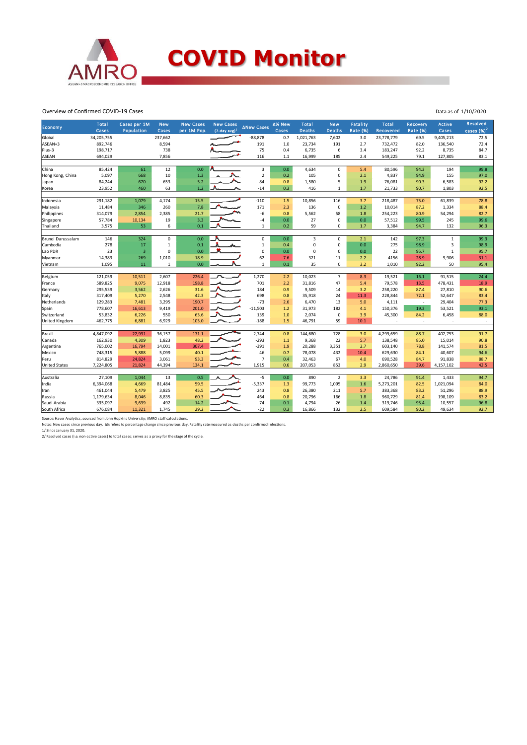

Overview of Confirmed COVID-19 Cases

| 34,205,755<br>237,662<br>$-88,878$<br>0.7<br>1,021,763<br>7,602<br>3.0<br>23,778,779<br>69.5<br>9,405,213<br>72.5<br>892,746<br>8,594<br>191<br>$1.0\,$<br>23,734<br>2.7<br>732,472<br>136,540<br>72.4<br>191<br>82.0<br>198,717<br>738<br>75<br>8,735<br>84.7<br>0.4<br>6,735<br>6<br>3.4<br>183,247<br>92.2<br>116<br>2.4<br>127,805<br>83.1<br>694,029<br>7,856<br>1.1<br>16,999<br>185<br>549,225<br>79.1<br>99.8<br>85,424<br>61<br>12<br>0.0<br>3<br>0.0<br>$\mathsf 0$<br>5.4<br>94.3<br>194<br>4,634<br>80,596<br>$\mathbf 2$<br>5,097<br>10<br>1.3<br>$\pmb{0}$<br>155<br>97.0<br>668<br>0.2<br>105<br>2.1<br>4,837<br>94.9<br>5.2<br>653<br>84<br>0.8<br>1,580<br>5<br>1.9<br>6,583<br>92.2<br>84,244<br>670<br>76,081<br>90.3<br>1.2<br>23,952<br>460<br>63<br>$-14$<br>0.3<br>416<br>1.7<br>21,733<br>90.7<br>1,803<br>92.5<br>$\mathbf{1}$<br>15.5<br>1.5<br>3.7<br>78.8<br>291,182<br>1,079<br>4,174<br>$-110$<br>10,856<br>116<br>218,487<br>75.0<br>61,839<br>7.8<br>11,484<br>346<br>260<br>171<br>$\mathsf 0$<br>1.2<br>1,334<br>88.4<br>Malaysia<br>2.3<br>136<br>10,014<br>87.2<br>$-6$<br>82.7<br>314,079<br>2,385<br>21.7<br>0.8<br>5,562<br>58<br>1.8<br>254,223<br>80.9<br>54,294<br>2,854<br>3.3<br>19<br>0.0<br>27<br>$\mathbf 0$<br>0.0<br>57,512<br>99.6<br>57,784<br>10,134<br>$-4$<br>99.5<br>245<br>0.1<br>3,575<br>53<br>6<br>0.2<br>59<br>$\mathbf 0$<br>1.7<br>3,384<br>94.7<br>132<br>96.3<br>$\mathbf{1}$<br>146<br>324<br>0.0<br>$\mathbf 0$<br>0.0<br>$\overline{3}$<br>$\mathbf 1$<br>99.3<br>Brunei Darussalam<br>$\mathbf 0$<br>$\mathbf 0$<br>2.1<br>142<br>97.3<br>98.9<br>Cambodia<br>278<br>17<br>0.1<br>0.4<br>$\mathsf 0$<br>$\mathsf 0$<br>0.0<br>275<br>98.9<br>3<br>$\mathbf 1$<br>$\mathbf 1$<br>$\overline{\mathbf{3}}$<br>23<br>0.0<br>$\mathbf 0$<br>$\mathbf 0$<br>$\mathbf 0$<br>95.7<br>Lao PDR<br>$\Omega$<br>0.0<br>0.0<br>22<br>95.7<br>$\mathbf 1$<br>14,383<br>62<br>4156<br>31.1<br>269<br>1,010<br>18.9<br>7.6<br>321<br>11<br>2.2<br>28.9<br>9,906<br>Myanmar<br>1,095<br>0.0<br>0.1<br>50<br>95.4<br>11<br>$\mathbf{1}$<br>$\mathbf{1}$<br>35<br>$\mathbf 0$<br>3.2<br>1,010<br>92.2<br>Vietnam<br>226.4<br>1,270<br>2.2<br>$\overline{7}$<br>8.3<br>19,521<br>24.4<br>121,059<br>10,511<br>2,607<br>10,023<br>16.1<br>91,515<br>Belgium<br>589,825<br>9,075<br>198.8<br>701<br>478,431<br>18.9<br>12,918<br>2.2<br>31,816<br>47<br>5.4<br>79,578<br>13.5<br>France<br>295,539<br>3,562<br>2,626<br>31.6<br>184<br>0.9<br>9,509<br>14<br>3.2<br>258,220<br>87.4<br>27,810<br>90.6<br>Germany<br>42.3<br>698<br>0.8<br>83.4<br>317,409<br>5,270<br>2,548<br>35,918<br>24<br>11.3<br>228,844<br>72.1<br>52,647<br>Italy<br>129,283<br>7,481<br>3,295<br>190.7<br>$-73$<br>6,470<br>13<br>5.0<br>4,111<br>29,404<br>77.3<br>Netherlands<br>2.6<br>$\sim$<br>93.1<br>201.0<br>$-11,503$<br>182<br>150,376<br>19.3<br>53,521<br>778,607<br>16,613<br>9,419<br>1.2<br>31,973<br>4.1<br>Spain<br>139<br>53,832<br>550<br>63.6<br>1.0<br>2,074<br>$\mathsf 0$<br>3.9<br>45,300<br>6,458<br>88.0<br>Switzerland<br>6,226<br>84.2<br>$-188$<br>59<br>United Kingdom<br>462,775<br>6,881<br>6,929<br>103.0<br>1.5<br>46,791<br>10.1<br>$\overline{\phantom{a}}$<br>÷<br>Brazil<br>91.7<br>4,847,092<br>22,931<br>36,157<br>171.1<br>2,744<br>0.8<br>728<br>3.0<br>4,299,659<br>402,753<br>144,680<br>88.7<br>162,930<br>1,823<br>48.2<br>$-293$<br>22<br>15,014<br>90.8<br>4,309<br>9,368<br>5.7<br>138,548<br>85.0<br>Canada<br>1.1<br>765,002<br>16,794<br>307.4<br>$-391$<br>141,574<br>81.5<br>14,001<br>1.9<br>20,288<br>3,351<br>2.7<br>603,140<br>78.8<br>Argentina<br>94.6<br>748,315<br>5,888<br>5,099<br>40.1<br>46<br>0.7<br>78,078<br>432<br>10.4<br>629,630<br>40,607<br>Mexico<br>84.1<br>814,829<br>3,061<br>93.3<br>$\overline{7}$<br>0.4<br>32,463<br>67<br>690,528<br>91,838<br>88.7<br>Peru<br>24,824<br>4.0<br>84.7<br>1,915<br>42.5<br><b>United States</b><br>7,224,805<br>21,824<br>134.1<br>0.6<br>853<br>2.9<br>2,860,650<br>4,157,102<br>44,394<br>207,053<br>39.6<br>0.5<br>$-5$<br>$\overline{2}$<br>94.7<br>27,109<br>1.044<br>13<br>0.0<br>890<br>3.3<br>24,786<br>1,433<br>91.4<br>$-5,337$<br>6,394,068<br>81,484<br>1,095<br>1.6<br>1,021,094<br>84.0<br>59.5<br>1.3<br>99,773<br>5,273,201<br>82.5<br>4,669<br>461,044<br>5,479<br>3,825<br>45.5<br>243<br>0.8<br>26,380<br>211<br>5.7<br>383,368<br>83.2<br>51,296<br>88.9<br>1,179,634<br>8,835<br>60.3<br>464<br>0.8<br>1.8<br>198,109<br>83.2<br>8,046<br>20,796<br>166<br>960,729<br>81.4<br>492<br>14.2<br>74<br>0.1<br>10,557<br>96.8<br>335,097<br>9,639<br>4,794<br>26<br>1.4<br>319,746<br>95.4 | Economy          | <b>Total</b><br>Cases | Cases per 1M<br>Population | <b>New</b><br>Cases | <b>New Cases</b><br>per 1M Pop. | <b>New Cases</b><br>$(7$ -day avg) <sup>1</sup> | ∆New Cases | ∆% New<br>Cases | <b>Total</b><br><b>Deaths</b> | <b>New</b><br><b>Deaths</b> | <b>Fatality</b><br><b>Rate (%)</b> | <b>Total</b><br>Recovered | Recovery<br><b>Rate (%)</b> | <b>Active</b><br>Cases | Resolved<br>cases $(%)2$ |
|----------------------------------------------------------------------------------------------------------------------------------------------------------------------------------------------------------------------------------------------------------------------------------------------------------------------------------------------------------------------------------------------------------------------------------------------------------------------------------------------------------------------------------------------------------------------------------------------------------------------------------------------------------------------------------------------------------------------------------------------------------------------------------------------------------------------------------------------------------------------------------------------------------------------------------------------------------------------------------------------------------------------------------------------------------------------------------------------------------------------------------------------------------------------------------------------------------------------------------------------------------------------------------------------------------------------------------------------------------------------------------------------------------------------------------------------------------------------------------------------------------------------------------------------------------------------------------------------------------------------------------------------------------------------------------------------------------------------------------------------------------------------------------------------------------------------------------------------------------------------------------------------------------------------------------------------------------------------------------------------------------------------------------------------------------------------------------------------------------------------------------------------------------------------------------------------------------------------------------------------------------------------------------------------------------------------------------------------------------------------------------------------------------------------------------------------------------------------------------------------------------------------------------------------------------------------------------------------------------------------------------------------------------------------------------------------------------------------------------------------------------------------------------------------------------------------------------------------------------------------------------------------------------------------------------------------------------------------------------------------------------------------------------------------------------------------------------------------------------------------------------------------------------------------------------------------------------------------------------------------------------------------------------------------------------------------------------------------------------------------------------------------------------------------------------------------------------------------------------------------------------------------------------------------------------------------------------------------------------------------------------------------------------------------------------------------------------------------------------------------------------------------------------------------------------------------------------------------------------------------------------------------------------------------------------------------------------------------------------------------------------------------------------------------------------------------------------------------------------------------------------------------------------------------------------------------------------------------------------------------------------------------------------------------------------------------------------------------------------------------------------------------------------------------------------------------------------------------------------------------------------------------------------------------------------------------------------------------------------------------------------------------------|------------------|-----------------------|----------------------------|---------------------|---------------------------------|-------------------------------------------------|------------|-----------------|-------------------------------|-----------------------------|------------------------------------|---------------------------|-----------------------------|------------------------|--------------------------|
|                                                                                                                                                                                                                                                                                                                                                                                                                                                                                                                                                                                                                                                                                                                                                                                                                                                                                                                                                                                                                                                                                                                                                                                                                                                                                                                                                                                                                                                                                                                                                                                                                                                                                                                                                                                                                                                                                                                                                                                                                                                                                                                                                                                                                                                                                                                                                                                                                                                                                                                                                                                                                                                                                                                                                                                                                                                                                                                                                                                                                                                                                                                                                                                                                                                                                                                                                                                                                                                                                                                                                                                                                                                                                                                                                                                                                                                                                                                                                                                                                                                                                                                                                                                                                                                                                                                                                                                                                                                                                                                                                                                                                                                    | Global           |                       |                            |                     |                                 |                                                 |            |                 |                               |                             |                                    |                           |                             |                        |                          |
|                                                                                                                                                                                                                                                                                                                                                                                                                                                                                                                                                                                                                                                                                                                                                                                                                                                                                                                                                                                                                                                                                                                                                                                                                                                                                                                                                                                                                                                                                                                                                                                                                                                                                                                                                                                                                                                                                                                                                                                                                                                                                                                                                                                                                                                                                                                                                                                                                                                                                                                                                                                                                                                                                                                                                                                                                                                                                                                                                                                                                                                                                                                                                                                                                                                                                                                                                                                                                                                                                                                                                                                                                                                                                                                                                                                                                                                                                                                                                                                                                                                                                                                                                                                                                                                                                                                                                                                                                                                                                                                                                                                                                                                    | ASEAN+3          |                       |                            |                     |                                 |                                                 |            |                 |                               |                             |                                    |                           |                             |                        |                          |
|                                                                                                                                                                                                                                                                                                                                                                                                                                                                                                                                                                                                                                                                                                                                                                                                                                                                                                                                                                                                                                                                                                                                                                                                                                                                                                                                                                                                                                                                                                                                                                                                                                                                                                                                                                                                                                                                                                                                                                                                                                                                                                                                                                                                                                                                                                                                                                                                                                                                                                                                                                                                                                                                                                                                                                                                                                                                                                                                                                                                                                                                                                                                                                                                                                                                                                                                                                                                                                                                                                                                                                                                                                                                                                                                                                                                                                                                                                                                                                                                                                                                                                                                                                                                                                                                                                                                                                                                                                                                                                                                                                                                                                                    | Plus-3           |                       |                            |                     |                                 |                                                 |            |                 |                               |                             |                                    |                           |                             |                        |                          |
|                                                                                                                                                                                                                                                                                                                                                                                                                                                                                                                                                                                                                                                                                                                                                                                                                                                                                                                                                                                                                                                                                                                                                                                                                                                                                                                                                                                                                                                                                                                                                                                                                                                                                                                                                                                                                                                                                                                                                                                                                                                                                                                                                                                                                                                                                                                                                                                                                                                                                                                                                                                                                                                                                                                                                                                                                                                                                                                                                                                                                                                                                                                                                                                                                                                                                                                                                                                                                                                                                                                                                                                                                                                                                                                                                                                                                                                                                                                                                                                                                                                                                                                                                                                                                                                                                                                                                                                                                                                                                                                                                                                                                                                    | <b>ASEAN</b>     |                       |                            |                     |                                 |                                                 |            |                 |                               |                             |                                    |                           |                             |                        |                          |
|                                                                                                                                                                                                                                                                                                                                                                                                                                                                                                                                                                                                                                                                                                                                                                                                                                                                                                                                                                                                                                                                                                                                                                                                                                                                                                                                                                                                                                                                                                                                                                                                                                                                                                                                                                                                                                                                                                                                                                                                                                                                                                                                                                                                                                                                                                                                                                                                                                                                                                                                                                                                                                                                                                                                                                                                                                                                                                                                                                                                                                                                                                                                                                                                                                                                                                                                                                                                                                                                                                                                                                                                                                                                                                                                                                                                                                                                                                                                                                                                                                                                                                                                                                                                                                                                                                                                                                                                                                                                                                                                                                                                                                                    |                  |                       |                            |                     |                                 |                                                 |            |                 |                               |                             |                                    |                           |                             |                        |                          |
|                                                                                                                                                                                                                                                                                                                                                                                                                                                                                                                                                                                                                                                                                                                                                                                                                                                                                                                                                                                                                                                                                                                                                                                                                                                                                                                                                                                                                                                                                                                                                                                                                                                                                                                                                                                                                                                                                                                                                                                                                                                                                                                                                                                                                                                                                                                                                                                                                                                                                                                                                                                                                                                                                                                                                                                                                                                                                                                                                                                                                                                                                                                                                                                                                                                                                                                                                                                                                                                                                                                                                                                                                                                                                                                                                                                                                                                                                                                                                                                                                                                                                                                                                                                                                                                                                                                                                                                                                                                                                                                                                                                                                                                    | China            |                       |                            |                     |                                 |                                                 |            |                 |                               |                             |                                    |                           |                             |                        |                          |
|                                                                                                                                                                                                                                                                                                                                                                                                                                                                                                                                                                                                                                                                                                                                                                                                                                                                                                                                                                                                                                                                                                                                                                                                                                                                                                                                                                                                                                                                                                                                                                                                                                                                                                                                                                                                                                                                                                                                                                                                                                                                                                                                                                                                                                                                                                                                                                                                                                                                                                                                                                                                                                                                                                                                                                                                                                                                                                                                                                                                                                                                                                                                                                                                                                                                                                                                                                                                                                                                                                                                                                                                                                                                                                                                                                                                                                                                                                                                                                                                                                                                                                                                                                                                                                                                                                                                                                                                                                                                                                                                                                                                                                                    | Hong Kong, China |                       |                            |                     |                                 |                                                 |            |                 |                               |                             |                                    |                           |                             |                        |                          |
|                                                                                                                                                                                                                                                                                                                                                                                                                                                                                                                                                                                                                                                                                                                                                                                                                                                                                                                                                                                                                                                                                                                                                                                                                                                                                                                                                                                                                                                                                                                                                                                                                                                                                                                                                                                                                                                                                                                                                                                                                                                                                                                                                                                                                                                                                                                                                                                                                                                                                                                                                                                                                                                                                                                                                                                                                                                                                                                                                                                                                                                                                                                                                                                                                                                                                                                                                                                                                                                                                                                                                                                                                                                                                                                                                                                                                                                                                                                                                                                                                                                                                                                                                                                                                                                                                                                                                                                                                                                                                                                                                                                                                                                    | Japan            |                       |                            |                     |                                 |                                                 |            |                 |                               |                             |                                    |                           |                             |                        |                          |
|                                                                                                                                                                                                                                                                                                                                                                                                                                                                                                                                                                                                                                                                                                                                                                                                                                                                                                                                                                                                                                                                                                                                                                                                                                                                                                                                                                                                                                                                                                                                                                                                                                                                                                                                                                                                                                                                                                                                                                                                                                                                                                                                                                                                                                                                                                                                                                                                                                                                                                                                                                                                                                                                                                                                                                                                                                                                                                                                                                                                                                                                                                                                                                                                                                                                                                                                                                                                                                                                                                                                                                                                                                                                                                                                                                                                                                                                                                                                                                                                                                                                                                                                                                                                                                                                                                                                                                                                                                                                                                                                                                                                                                                    | Korea            |                       |                            |                     |                                 |                                                 |            |                 |                               |                             |                                    |                           |                             |                        |                          |
|                                                                                                                                                                                                                                                                                                                                                                                                                                                                                                                                                                                                                                                                                                                                                                                                                                                                                                                                                                                                                                                                                                                                                                                                                                                                                                                                                                                                                                                                                                                                                                                                                                                                                                                                                                                                                                                                                                                                                                                                                                                                                                                                                                                                                                                                                                                                                                                                                                                                                                                                                                                                                                                                                                                                                                                                                                                                                                                                                                                                                                                                                                                                                                                                                                                                                                                                                                                                                                                                                                                                                                                                                                                                                                                                                                                                                                                                                                                                                                                                                                                                                                                                                                                                                                                                                                                                                                                                                                                                                                                                                                                                                                                    |                  |                       |                            |                     |                                 |                                                 |            |                 |                               |                             |                                    |                           |                             |                        |                          |
|                                                                                                                                                                                                                                                                                                                                                                                                                                                                                                                                                                                                                                                                                                                                                                                                                                                                                                                                                                                                                                                                                                                                                                                                                                                                                                                                                                                                                                                                                                                                                                                                                                                                                                                                                                                                                                                                                                                                                                                                                                                                                                                                                                                                                                                                                                                                                                                                                                                                                                                                                                                                                                                                                                                                                                                                                                                                                                                                                                                                                                                                                                                                                                                                                                                                                                                                                                                                                                                                                                                                                                                                                                                                                                                                                                                                                                                                                                                                                                                                                                                                                                                                                                                                                                                                                                                                                                                                                                                                                                                                                                                                                                                    | Indonesia        |                       |                            |                     |                                 |                                                 |            |                 |                               |                             |                                    |                           |                             |                        |                          |
|                                                                                                                                                                                                                                                                                                                                                                                                                                                                                                                                                                                                                                                                                                                                                                                                                                                                                                                                                                                                                                                                                                                                                                                                                                                                                                                                                                                                                                                                                                                                                                                                                                                                                                                                                                                                                                                                                                                                                                                                                                                                                                                                                                                                                                                                                                                                                                                                                                                                                                                                                                                                                                                                                                                                                                                                                                                                                                                                                                                                                                                                                                                                                                                                                                                                                                                                                                                                                                                                                                                                                                                                                                                                                                                                                                                                                                                                                                                                                                                                                                                                                                                                                                                                                                                                                                                                                                                                                                                                                                                                                                                                                                                    |                  |                       |                            |                     |                                 |                                                 |            |                 |                               |                             |                                    |                           |                             |                        |                          |
|                                                                                                                                                                                                                                                                                                                                                                                                                                                                                                                                                                                                                                                                                                                                                                                                                                                                                                                                                                                                                                                                                                                                                                                                                                                                                                                                                                                                                                                                                                                                                                                                                                                                                                                                                                                                                                                                                                                                                                                                                                                                                                                                                                                                                                                                                                                                                                                                                                                                                                                                                                                                                                                                                                                                                                                                                                                                                                                                                                                                                                                                                                                                                                                                                                                                                                                                                                                                                                                                                                                                                                                                                                                                                                                                                                                                                                                                                                                                                                                                                                                                                                                                                                                                                                                                                                                                                                                                                                                                                                                                                                                                                                                    | Philippines      |                       |                            |                     |                                 |                                                 |            |                 |                               |                             |                                    |                           |                             |                        |                          |
|                                                                                                                                                                                                                                                                                                                                                                                                                                                                                                                                                                                                                                                                                                                                                                                                                                                                                                                                                                                                                                                                                                                                                                                                                                                                                                                                                                                                                                                                                                                                                                                                                                                                                                                                                                                                                                                                                                                                                                                                                                                                                                                                                                                                                                                                                                                                                                                                                                                                                                                                                                                                                                                                                                                                                                                                                                                                                                                                                                                                                                                                                                                                                                                                                                                                                                                                                                                                                                                                                                                                                                                                                                                                                                                                                                                                                                                                                                                                                                                                                                                                                                                                                                                                                                                                                                                                                                                                                                                                                                                                                                                                                                                    | Singapore        |                       |                            |                     |                                 |                                                 |            |                 |                               |                             |                                    |                           |                             |                        |                          |
|                                                                                                                                                                                                                                                                                                                                                                                                                                                                                                                                                                                                                                                                                                                                                                                                                                                                                                                                                                                                                                                                                                                                                                                                                                                                                                                                                                                                                                                                                                                                                                                                                                                                                                                                                                                                                                                                                                                                                                                                                                                                                                                                                                                                                                                                                                                                                                                                                                                                                                                                                                                                                                                                                                                                                                                                                                                                                                                                                                                                                                                                                                                                                                                                                                                                                                                                                                                                                                                                                                                                                                                                                                                                                                                                                                                                                                                                                                                                                                                                                                                                                                                                                                                                                                                                                                                                                                                                                                                                                                                                                                                                                                                    | Thailand         |                       |                            |                     |                                 |                                                 |            |                 |                               |                             |                                    |                           |                             |                        |                          |
|                                                                                                                                                                                                                                                                                                                                                                                                                                                                                                                                                                                                                                                                                                                                                                                                                                                                                                                                                                                                                                                                                                                                                                                                                                                                                                                                                                                                                                                                                                                                                                                                                                                                                                                                                                                                                                                                                                                                                                                                                                                                                                                                                                                                                                                                                                                                                                                                                                                                                                                                                                                                                                                                                                                                                                                                                                                                                                                                                                                                                                                                                                                                                                                                                                                                                                                                                                                                                                                                                                                                                                                                                                                                                                                                                                                                                                                                                                                                                                                                                                                                                                                                                                                                                                                                                                                                                                                                                                                                                                                                                                                                                                                    |                  |                       |                            |                     |                                 |                                                 |            |                 |                               |                             |                                    |                           |                             |                        |                          |
|                                                                                                                                                                                                                                                                                                                                                                                                                                                                                                                                                                                                                                                                                                                                                                                                                                                                                                                                                                                                                                                                                                                                                                                                                                                                                                                                                                                                                                                                                                                                                                                                                                                                                                                                                                                                                                                                                                                                                                                                                                                                                                                                                                                                                                                                                                                                                                                                                                                                                                                                                                                                                                                                                                                                                                                                                                                                                                                                                                                                                                                                                                                                                                                                                                                                                                                                                                                                                                                                                                                                                                                                                                                                                                                                                                                                                                                                                                                                                                                                                                                                                                                                                                                                                                                                                                                                                                                                                                                                                                                                                                                                                                                    |                  |                       |                            |                     |                                 |                                                 |            |                 |                               |                             |                                    |                           |                             |                        |                          |
|                                                                                                                                                                                                                                                                                                                                                                                                                                                                                                                                                                                                                                                                                                                                                                                                                                                                                                                                                                                                                                                                                                                                                                                                                                                                                                                                                                                                                                                                                                                                                                                                                                                                                                                                                                                                                                                                                                                                                                                                                                                                                                                                                                                                                                                                                                                                                                                                                                                                                                                                                                                                                                                                                                                                                                                                                                                                                                                                                                                                                                                                                                                                                                                                                                                                                                                                                                                                                                                                                                                                                                                                                                                                                                                                                                                                                                                                                                                                                                                                                                                                                                                                                                                                                                                                                                                                                                                                                                                                                                                                                                                                                                                    |                  |                       |                            |                     |                                 |                                                 |            |                 |                               |                             |                                    |                           |                             |                        |                          |
|                                                                                                                                                                                                                                                                                                                                                                                                                                                                                                                                                                                                                                                                                                                                                                                                                                                                                                                                                                                                                                                                                                                                                                                                                                                                                                                                                                                                                                                                                                                                                                                                                                                                                                                                                                                                                                                                                                                                                                                                                                                                                                                                                                                                                                                                                                                                                                                                                                                                                                                                                                                                                                                                                                                                                                                                                                                                                                                                                                                                                                                                                                                                                                                                                                                                                                                                                                                                                                                                                                                                                                                                                                                                                                                                                                                                                                                                                                                                                                                                                                                                                                                                                                                                                                                                                                                                                                                                                                                                                                                                                                                                                                                    |                  |                       |                            |                     |                                 |                                                 |            |                 |                               |                             |                                    |                           |                             |                        |                          |
|                                                                                                                                                                                                                                                                                                                                                                                                                                                                                                                                                                                                                                                                                                                                                                                                                                                                                                                                                                                                                                                                                                                                                                                                                                                                                                                                                                                                                                                                                                                                                                                                                                                                                                                                                                                                                                                                                                                                                                                                                                                                                                                                                                                                                                                                                                                                                                                                                                                                                                                                                                                                                                                                                                                                                                                                                                                                                                                                                                                                                                                                                                                                                                                                                                                                                                                                                                                                                                                                                                                                                                                                                                                                                                                                                                                                                                                                                                                                                                                                                                                                                                                                                                                                                                                                                                                                                                                                                                                                                                                                                                                                                                                    |                  |                       |                            |                     |                                 |                                                 |            |                 |                               |                             |                                    |                           |                             |                        |                          |
|                                                                                                                                                                                                                                                                                                                                                                                                                                                                                                                                                                                                                                                                                                                                                                                                                                                                                                                                                                                                                                                                                                                                                                                                                                                                                                                                                                                                                                                                                                                                                                                                                                                                                                                                                                                                                                                                                                                                                                                                                                                                                                                                                                                                                                                                                                                                                                                                                                                                                                                                                                                                                                                                                                                                                                                                                                                                                                                                                                                                                                                                                                                                                                                                                                                                                                                                                                                                                                                                                                                                                                                                                                                                                                                                                                                                                                                                                                                                                                                                                                                                                                                                                                                                                                                                                                                                                                                                                                                                                                                                                                                                                                                    |                  |                       |                            |                     |                                 |                                                 |            |                 |                               |                             |                                    |                           |                             |                        |                          |
|                                                                                                                                                                                                                                                                                                                                                                                                                                                                                                                                                                                                                                                                                                                                                                                                                                                                                                                                                                                                                                                                                                                                                                                                                                                                                                                                                                                                                                                                                                                                                                                                                                                                                                                                                                                                                                                                                                                                                                                                                                                                                                                                                                                                                                                                                                                                                                                                                                                                                                                                                                                                                                                                                                                                                                                                                                                                                                                                                                                                                                                                                                                                                                                                                                                                                                                                                                                                                                                                                                                                                                                                                                                                                                                                                                                                                                                                                                                                                                                                                                                                                                                                                                                                                                                                                                                                                                                                                                                                                                                                                                                                                                                    |                  |                       |                            |                     |                                 |                                                 |            |                 |                               |                             |                                    |                           |                             |                        |                          |
|                                                                                                                                                                                                                                                                                                                                                                                                                                                                                                                                                                                                                                                                                                                                                                                                                                                                                                                                                                                                                                                                                                                                                                                                                                                                                                                                                                                                                                                                                                                                                                                                                                                                                                                                                                                                                                                                                                                                                                                                                                                                                                                                                                                                                                                                                                                                                                                                                                                                                                                                                                                                                                                                                                                                                                                                                                                                                                                                                                                                                                                                                                                                                                                                                                                                                                                                                                                                                                                                                                                                                                                                                                                                                                                                                                                                                                                                                                                                                                                                                                                                                                                                                                                                                                                                                                                                                                                                                                                                                                                                                                                                                                                    |                  |                       |                            |                     |                                 |                                                 |            |                 |                               |                             |                                    |                           |                             |                        |                          |
|                                                                                                                                                                                                                                                                                                                                                                                                                                                                                                                                                                                                                                                                                                                                                                                                                                                                                                                                                                                                                                                                                                                                                                                                                                                                                                                                                                                                                                                                                                                                                                                                                                                                                                                                                                                                                                                                                                                                                                                                                                                                                                                                                                                                                                                                                                                                                                                                                                                                                                                                                                                                                                                                                                                                                                                                                                                                                                                                                                                                                                                                                                                                                                                                                                                                                                                                                                                                                                                                                                                                                                                                                                                                                                                                                                                                                                                                                                                                                                                                                                                                                                                                                                                                                                                                                                                                                                                                                                                                                                                                                                                                                                                    |                  |                       |                            |                     |                                 |                                                 |            |                 |                               |                             |                                    |                           |                             |                        |                          |
|                                                                                                                                                                                                                                                                                                                                                                                                                                                                                                                                                                                                                                                                                                                                                                                                                                                                                                                                                                                                                                                                                                                                                                                                                                                                                                                                                                                                                                                                                                                                                                                                                                                                                                                                                                                                                                                                                                                                                                                                                                                                                                                                                                                                                                                                                                                                                                                                                                                                                                                                                                                                                                                                                                                                                                                                                                                                                                                                                                                                                                                                                                                                                                                                                                                                                                                                                                                                                                                                                                                                                                                                                                                                                                                                                                                                                                                                                                                                                                                                                                                                                                                                                                                                                                                                                                                                                                                                                                                                                                                                                                                                                                                    |                  |                       |                            |                     |                                 |                                                 |            |                 |                               |                             |                                    |                           |                             |                        |                          |
|                                                                                                                                                                                                                                                                                                                                                                                                                                                                                                                                                                                                                                                                                                                                                                                                                                                                                                                                                                                                                                                                                                                                                                                                                                                                                                                                                                                                                                                                                                                                                                                                                                                                                                                                                                                                                                                                                                                                                                                                                                                                                                                                                                                                                                                                                                                                                                                                                                                                                                                                                                                                                                                                                                                                                                                                                                                                                                                                                                                                                                                                                                                                                                                                                                                                                                                                                                                                                                                                                                                                                                                                                                                                                                                                                                                                                                                                                                                                                                                                                                                                                                                                                                                                                                                                                                                                                                                                                                                                                                                                                                                                                                                    |                  |                       |                            |                     |                                 |                                                 |            |                 |                               |                             |                                    |                           |                             |                        |                          |
|                                                                                                                                                                                                                                                                                                                                                                                                                                                                                                                                                                                                                                                                                                                                                                                                                                                                                                                                                                                                                                                                                                                                                                                                                                                                                                                                                                                                                                                                                                                                                                                                                                                                                                                                                                                                                                                                                                                                                                                                                                                                                                                                                                                                                                                                                                                                                                                                                                                                                                                                                                                                                                                                                                                                                                                                                                                                                                                                                                                                                                                                                                                                                                                                                                                                                                                                                                                                                                                                                                                                                                                                                                                                                                                                                                                                                                                                                                                                                                                                                                                                                                                                                                                                                                                                                                                                                                                                                                                                                                                                                                                                                                                    |                  |                       |                            |                     |                                 |                                                 |            |                 |                               |                             |                                    |                           |                             |                        |                          |
|                                                                                                                                                                                                                                                                                                                                                                                                                                                                                                                                                                                                                                                                                                                                                                                                                                                                                                                                                                                                                                                                                                                                                                                                                                                                                                                                                                                                                                                                                                                                                                                                                                                                                                                                                                                                                                                                                                                                                                                                                                                                                                                                                                                                                                                                                                                                                                                                                                                                                                                                                                                                                                                                                                                                                                                                                                                                                                                                                                                                                                                                                                                                                                                                                                                                                                                                                                                                                                                                                                                                                                                                                                                                                                                                                                                                                                                                                                                                                                                                                                                                                                                                                                                                                                                                                                                                                                                                                                                                                                                                                                                                                                                    |                  |                       |                            |                     |                                 |                                                 |            |                 |                               |                             |                                    |                           |                             |                        |                          |
|                                                                                                                                                                                                                                                                                                                                                                                                                                                                                                                                                                                                                                                                                                                                                                                                                                                                                                                                                                                                                                                                                                                                                                                                                                                                                                                                                                                                                                                                                                                                                                                                                                                                                                                                                                                                                                                                                                                                                                                                                                                                                                                                                                                                                                                                                                                                                                                                                                                                                                                                                                                                                                                                                                                                                                                                                                                                                                                                                                                                                                                                                                                                                                                                                                                                                                                                                                                                                                                                                                                                                                                                                                                                                                                                                                                                                                                                                                                                                                                                                                                                                                                                                                                                                                                                                                                                                                                                                                                                                                                                                                                                                                                    |                  |                       |                            |                     |                                 |                                                 |            |                 |                               |                             |                                    |                           |                             |                        |                          |
|                                                                                                                                                                                                                                                                                                                                                                                                                                                                                                                                                                                                                                                                                                                                                                                                                                                                                                                                                                                                                                                                                                                                                                                                                                                                                                                                                                                                                                                                                                                                                                                                                                                                                                                                                                                                                                                                                                                                                                                                                                                                                                                                                                                                                                                                                                                                                                                                                                                                                                                                                                                                                                                                                                                                                                                                                                                                                                                                                                                                                                                                                                                                                                                                                                                                                                                                                                                                                                                                                                                                                                                                                                                                                                                                                                                                                                                                                                                                                                                                                                                                                                                                                                                                                                                                                                                                                                                                                                                                                                                                                                                                                                                    |                  |                       |                            |                     |                                 |                                                 |            |                 |                               |                             |                                    |                           |                             |                        |                          |
|                                                                                                                                                                                                                                                                                                                                                                                                                                                                                                                                                                                                                                                                                                                                                                                                                                                                                                                                                                                                                                                                                                                                                                                                                                                                                                                                                                                                                                                                                                                                                                                                                                                                                                                                                                                                                                                                                                                                                                                                                                                                                                                                                                                                                                                                                                                                                                                                                                                                                                                                                                                                                                                                                                                                                                                                                                                                                                                                                                                                                                                                                                                                                                                                                                                                                                                                                                                                                                                                                                                                                                                                                                                                                                                                                                                                                                                                                                                                                                                                                                                                                                                                                                                                                                                                                                                                                                                                                                                                                                                                                                                                                                                    |                  |                       |                            |                     |                                 |                                                 |            |                 |                               |                             |                                    |                           |                             |                        |                          |
|                                                                                                                                                                                                                                                                                                                                                                                                                                                                                                                                                                                                                                                                                                                                                                                                                                                                                                                                                                                                                                                                                                                                                                                                                                                                                                                                                                                                                                                                                                                                                                                                                                                                                                                                                                                                                                                                                                                                                                                                                                                                                                                                                                                                                                                                                                                                                                                                                                                                                                                                                                                                                                                                                                                                                                                                                                                                                                                                                                                                                                                                                                                                                                                                                                                                                                                                                                                                                                                                                                                                                                                                                                                                                                                                                                                                                                                                                                                                                                                                                                                                                                                                                                                                                                                                                                                                                                                                                                                                                                                                                                                                                                                    |                  |                       |                            |                     |                                 |                                                 |            |                 |                               |                             |                                    |                           |                             |                        |                          |
|                                                                                                                                                                                                                                                                                                                                                                                                                                                                                                                                                                                                                                                                                                                                                                                                                                                                                                                                                                                                                                                                                                                                                                                                                                                                                                                                                                                                                                                                                                                                                                                                                                                                                                                                                                                                                                                                                                                                                                                                                                                                                                                                                                                                                                                                                                                                                                                                                                                                                                                                                                                                                                                                                                                                                                                                                                                                                                                                                                                                                                                                                                                                                                                                                                                                                                                                                                                                                                                                                                                                                                                                                                                                                                                                                                                                                                                                                                                                                                                                                                                                                                                                                                                                                                                                                                                                                                                                                                                                                                                                                                                                                                                    |                  |                       |                            |                     |                                 |                                                 |            |                 |                               |                             |                                    |                           |                             |                        |                          |
|                                                                                                                                                                                                                                                                                                                                                                                                                                                                                                                                                                                                                                                                                                                                                                                                                                                                                                                                                                                                                                                                                                                                                                                                                                                                                                                                                                                                                                                                                                                                                                                                                                                                                                                                                                                                                                                                                                                                                                                                                                                                                                                                                                                                                                                                                                                                                                                                                                                                                                                                                                                                                                                                                                                                                                                                                                                                                                                                                                                                                                                                                                                                                                                                                                                                                                                                                                                                                                                                                                                                                                                                                                                                                                                                                                                                                                                                                                                                                                                                                                                                                                                                                                                                                                                                                                                                                                                                                                                                                                                                                                                                                                                    |                  |                       |                            |                     |                                 |                                                 |            |                 |                               |                             |                                    |                           |                             |                        |                          |
|                                                                                                                                                                                                                                                                                                                                                                                                                                                                                                                                                                                                                                                                                                                                                                                                                                                                                                                                                                                                                                                                                                                                                                                                                                                                                                                                                                                                                                                                                                                                                                                                                                                                                                                                                                                                                                                                                                                                                                                                                                                                                                                                                                                                                                                                                                                                                                                                                                                                                                                                                                                                                                                                                                                                                                                                                                                                                                                                                                                                                                                                                                                                                                                                                                                                                                                                                                                                                                                                                                                                                                                                                                                                                                                                                                                                                                                                                                                                                                                                                                                                                                                                                                                                                                                                                                                                                                                                                                                                                                                                                                                                                                                    |                  |                       |                            |                     |                                 |                                                 |            |                 |                               |                             |                                    |                           |                             |                        |                          |
|                                                                                                                                                                                                                                                                                                                                                                                                                                                                                                                                                                                                                                                                                                                                                                                                                                                                                                                                                                                                                                                                                                                                                                                                                                                                                                                                                                                                                                                                                                                                                                                                                                                                                                                                                                                                                                                                                                                                                                                                                                                                                                                                                                                                                                                                                                                                                                                                                                                                                                                                                                                                                                                                                                                                                                                                                                                                                                                                                                                                                                                                                                                                                                                                                                                                                                                                                                                                                                                                                                                                                                                                                                                                                                                                                                                                                                                                                                                                                                                                                                                                                                                                                                                                                                                                                                                                                                                                                                                                                                                                                                                                                                                    |                  |                       |                            |                     |                                 |                                                 |            |                 |                               |                             |                                    |                           |                             |                        |                          |
|                                                                                                                                                                                                                                                                                                                                                                                                                                                                                                                                                                                                                                                                                                                                                                                                                                                                                                                                                                                                                                                                                                                                                                                                                                                                                                                                                                                                                                                                                                                                                                                                                                                                                                                                                                                                                                                                                                                                                                                                                                                                                                                                                                                                                                                                                                                                                                                                                                                                                                                                                                                                                                                                                                                                                                                                                                                                                                                                                                                                                                                                                                                                                                                                                                                                                                                                                                                                                                                                                                                                                                                                                                                                                                                                                                                                                                                                                                                                                                                                                                                                                                                                                                                                                                                                                                                                                                                                                                                                                                                                                                                                                                                    |                  |                       |                            |                     |                                 |                                                 |            |                 |                               |                             |                                    |                           |                             |                        |                          |
|                                                                                                                                                                                                                                                                                                                                                                                                                                                                                                                                                                                                                                                                                                                                                                                                                                                                                                                                                                                                                                                                                                                                                                                                                                                                                                                                                                                                                                                                                                                                                                                                                                                                                                                                                                                                                                                                                                                                                                                                                                                                                                                                                                                                                                                                                                                                                                                                                                                                                                                                                                                                                                                                                                                                                                                                                                                                                                                                                                                                                                                                                                                                                                                                                                                                                                                                                                                                                                                                                                                                                                                                                                                                                                                                                                                                                                                                                                                                                                                                                                                                                                                                                                                                                                                                                                                                                                                                                                                                                                                                                                                                                                                    | Australia        |                       |                            |                     |                                 |                                                 |            |                 |                               |                             |                                    |                           |                             |                        |                          |
|                                                                                                                                                                                                                                                                                                                                                                                                                                                                                                                                                                                                                                                                                                                                                                                                                                                                                                                                                                                                                                                                                                                                                                                                                                                                                                                                                                                                                                                                                                                                                                                                                                                                                                                                                                                                                                                                                                                                                                                                                                                                                                                                                                                                                                                                                                                                                                                                                                                                                                                                                                                                                                                                                                                                                                                                                                                                                                                                                                                                                                                                                                                                                                                                                                                                                                                                                                                                                                                                                                                                                                                                                                                                                                                                                                                                                                                                                                                                                                                                                                                                                                                                                                                                                                                                                                                                                                                                                                                                                                                                                                                                                                                    | India            |                       |                            |                     |                                 |                                                 |            |                 |                               |                             |                                    |                           |                             |                        |                          |
|                                                                                                                                                                                                                                                                                                                                                                                                                                                                                                                                                                                                                                                                                                                                                                                                                                                                                                                                                                                                                                                                                                                                                                                                                                                                                                                                                                                                                                                                                                                                                                                                                                                                                                                                                                                                                                                                                                                                                                                                                                                                                                                                                                                                                                                                                                                                                                                                                                                                                                                                                                                                                                                                                                                                                                                                                                                                                                                                                                                                                                                                                                                                                                                                                                                                                                                                                                                                                                                                                                                                                                                                                                                                                                                                                                                                                                                                                                                                                                                                                                                                                                                                                                                                                                                                                                                                                                                                                                                                                                                                                                                                                                                    | Iran             |                       |                            |                     |                                 |                                                 |            |                 |                               |                             |                                    |                           |                             |                        |                          |
|                                                                                                                                                                                                                                                                                                                                                                                                                                                                                                                                                                                                                                                                                                                                                                                                                                                                                                                                                                                                                                                                                                                                                                                                                                                                                                                                                                                                                                                                                                                                                                                                                                                                                                                                                                                                                                                                                                                                                                                                                                                                                                                                                                                                                                                                                                                                                                                                                                                                                                                                                                                                                                                                                                                                                                                                                                                                                                                                                                                                                                                                                                                                                                                                                                                                                                                                                                                                                                                                                                                                                                                                                                                                                                                                                                                                                                                                                                                                                                                                                                                                                                                                                                                                                                                                                                                                                                                                                                                                                                                                                                                                                                                    | Russia           |                       |                            |                     |                                 |                                                 |            |                 |                               |                             |                                    |                           |                             |                        |                          |
|                                                                                                                                                                                                                                                                                                                                                                                                                                                                                                                                                                                                                                                                                                                                                                                                                                                                                                                                                                                                                                                                                                                                                                                                                                                                                                                                                                                                                                                                                                                                                                                                                                                                                                                                                                                                                                                                                                                                                                                                                                                                                                                                                                                                                                                                                                                                                                                                                                                                                                                                                                                                                                                                                                                                                                                                                                                                                                                                                                                                                                                                                                                                                                                                                                                                                                                                                                                                                                                                                                                                                                                                                                                                                                                                                                                                                                                                                                                                                                                                                                                                                                                                                                                                                                                                                                                                                                                                                                                                                                                                                                                                                                                    | Saudi Arabia     |                       |                            |                     |                                 |                                                 |            |                 |                               |                             |                                    |                           |                             |                        |                          |
|                                                                                                                                                                                                                                                                                                                                                                                                                                                                                                                                                                                                                                                                                                                                                                                                                                                                                                                                                                                                                                                                                                                                                                                                                                                                                                                                                                                                                                                                                                                                                                                                                                                                                                                                                                                                                                                                                                                                                                                                                                                                                                                                                                                                                                                                                                                                                                                                                                                                                                                                                                                                                                                                                                                                                                                                                                                                                                                                                                                                                                                                                                                                                                                                                                                                                                                                                                                                                                                                                                                                                                                                                                                                                                                                                                                                                                                                                                                                                                                                                                                                                                                                                                                                                                                                                                                                                                                                                                                                                                                                                                                                                                                    | South Africa     | 676,084               | 11,321                     | 1,745               | 29.2                            |                                                 | $-22$      | 0.3             | 16,866                        | 132                         | 2.5                                | 609,584                   | 90.2                        | 49,634                 | 92.7                     |

Source: Haver Analytics, sourced from John Hopkins University; AMRO staff calculations.<br>Notes: New cases since previous day. Δ% refers to percentage change since previous day. Fatality rate measured as deaths per confirmed

Data as of 1/10/2020